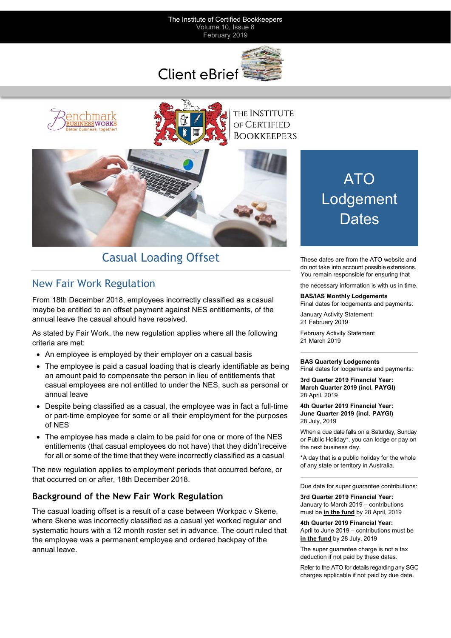#### The Institute of Certified Bookkeepers Volume 10, Issue 8 February 2019





THE INSTITUTE of CERTIFIED **BOOKKEEPERS** 



# Casual Loading Offset These dates are from the ATO website and

# New Fair Work Regulation

From 18th December 2018, employees incorrectly classified as acasual maybe be entitled to an offset payment against NES entitlements, of the annual leave the casual should have received.

As stated by Fair Work, the new regulation applies where all the following criteria are met:

- An employee is employed by their employer on a casual basis
- The employee is paid a casual loading that is clearly identifiable as being an amount paid to compensate the person in lieu of entitlements that casual employees are not entitled to under the NES, such as personal or annual leave
- Despite being classified as a casual, the employee was in fact a full-time or part-time employee for some or all their employment for the purposes of NES
- The employee has made a claim to be paid for one or more of the NES entitlements (that casual employees do not have) that they didn'treceive for all or some of the time that they were incorrectly classified as a casual

The new regulation applies to employment periods that occurred before, or that occurred on or after, 18th December 2018.

# **Background of the New Fair Work Regulation**

The casual loading offset is a result of a case between Workpac v Skene, where Skene was incorrectly classified as a casual yet worked regular and systematic hours with a 12 month roster set in advance. The court ruled that the employee was a permanent employee and ordered backpay of the annual leave.

# ATO **Lodgement Dates**

do not take into account possible extensions. You remain responsible for ensuring that

the necessary information is with us in time.

#### **BAS/IAS Monthly Lodgements**

Final dates for lodgements and payments:

January Activity Statement: 21 February 2019

February Activity Statement 21 March 2019

#### **BAS Quarterly Lodgements**

Final dates for lodgements and payments:

**3rd Quarter 2019 Financial Year: March Quarter 2019 (incl. PAYGI)**  28 April, 2019

**4th Quarter 2019 Financial Year: June Quarter 2019 (incl. PAYGI)**  28 July, 2019

When a due date falls on a Saturday, Sunday or Public Holiday\*, you can lodge or pay on the next business day.

\*A day that is a public holiday for the whole of any state or territory in Australia.

Due date for super guarantee contributions:

**3rd Quarter 2019 Financial Year:**  January to March 2019 – contributions must be **in the fund** by 28 April, 2019

**4th Quarter 2019 Financial Year:** April to June 2019 – contributions must be **in the fund** by 28 July, 2019

The super guarantee charge is not a tax deduction if not paid by these dates.

Refer to the ATO for details regarding any SGC charges applicable if not paid by due date.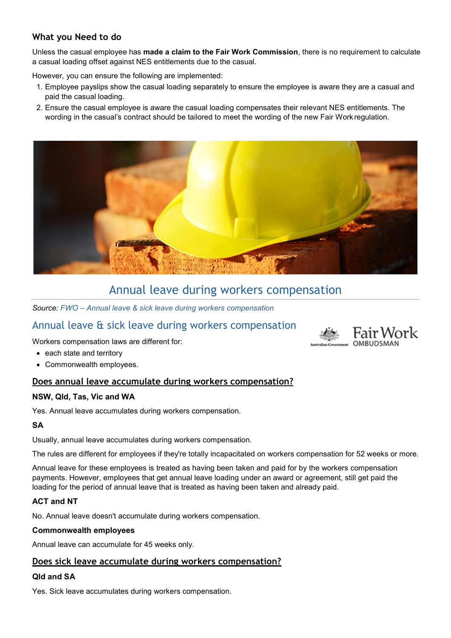# **What you Need to do**

Unless the casual employee has **made a claim to the Fair Work Commission**, there is no requirement to calculate a casual loading offset against NES entitlements due to the casual.

However, you can ensure the following are implemented:

- 1. Employee payslips show the casual loading separately to ensure the employee is aware they are a casual and paid the casual loading.
- 2. Ensure the casual employee is aware the casual loading compensates their relevant NES entitlements. The wording in the casual's contract should be tailored to meet the wording of the new Fair Workregulation.



# Annual leave during workers compensation

*Source: FWO – [Annual leave & sick leave during workers compensation](https://icb.us5.list-manage.com/track/click?u=cb22032389055ff741c2c445e&id=73f2fb3c20&e=3a6455675c)*

# Annual leave & sick leave during workers compensation

Workers compensation laws are different for:

- each state and territory
- Commonwealth employees.

# **Does annual leave accumulate during workers compensation?**

# **NSW, Qld, Tas, Vic and WA**

Yes. Annual leave accumulates during workers compensation.

#### **SA**

Usually, annual leave accumulates during workers compensation.

The rules are different for employees if they're totally incapacitated on workers compensation for 52 weeks or more.

Annual leave for these employees is treated as having been taken and paid for by the workers compensation payments. However, employees that get annual leave loading under an award or agreement, still get paid the loading for the period of annual leave that is treated as having been taken and already paid.

# **ACT and NT**

No. Annual leave doesn't accumulate during workers compensation.

#### **Commonwealth employees**

Annual leave can accumulate for 45 weeks only.

# **Does sick leave accumulate during workers compensation?**

# **Qld and SA**

Yes. Sick leave accumulates during workers compensation.